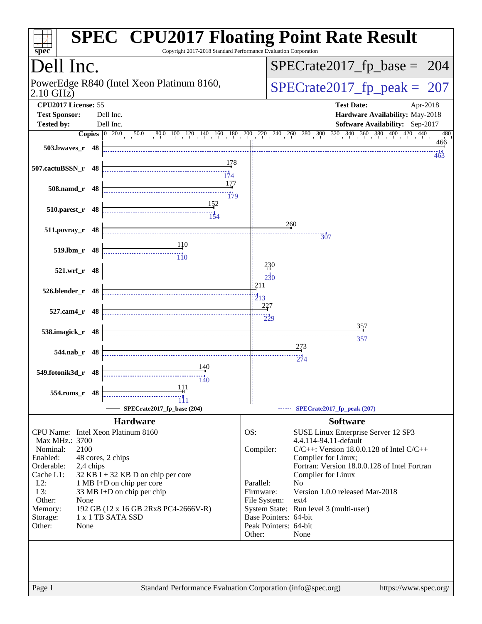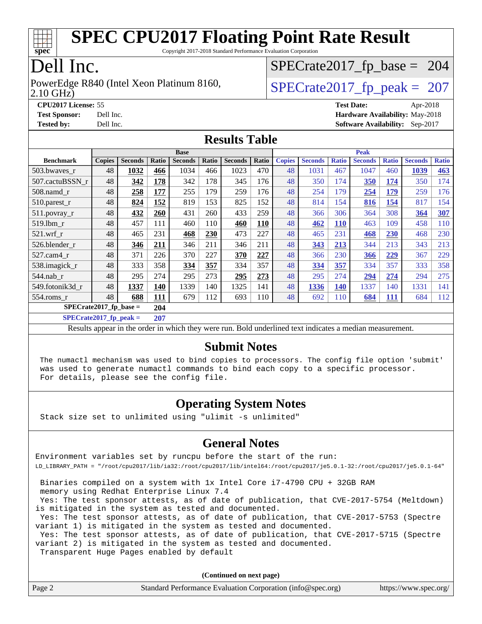

Copyright 2017-2018 Standard Performance Evaluation Corporation

## Dell Inc.

2.10 GHz) PowerEdge R840 (Intel Xeon Platinum 8160,  $\vert$  [SPECrate2017\\_fp\\_peak =](http://www.spec.org/auto/cpu2017/Docs/result-fields.html#SPECrate2017fppeak) 207

[SPECrate2017\\_fp\\_base =](http://www.spec.org/auto/cpu2017/Docs/result-fields.html#SPECrate2017fpbase) 204

**[CPU2017 License:](http://www.spec.org/auto/cpu2017/Docs/result-fields.html#CPU2017License)** 55 **[Test Date:](http://www.spec.org/auto/cpu2017/Docs/result-fields.html#TestDate)** Apr-2018 **[Test Sponsor:](http://www.spec.org/auto/cpu2017/Docs/result-fields.html#TestSponsor)** Dell Inc. **[Hardware Availability:](http://www.spec.org/auto/cpu2017/Docs/result-fields.html#HardwareAvailability)** May-2018 **[Tested by:](http://www.spec.org/auto/cpu2017/Docs/result-fields.html#Testedby)** Dell Inc. **[Software Availability:](http://www.spec.org/auto/cpu2017/Docs/result-fields.html#SoftwareAvailability)** Sep-2017

#### **[Results Table](http://www.spec.org/auto/cpu2017/Docs/result-fields.html#ResultsTable)**

|                  |                                 |                |            | <b>Base</b>    |       |                |       |               |                |              | <b>Peak</b>    |              |                |              |  |
|------------------|---------------------------------|----------------|------------|----------------|-------|----------------|-------|---------------|----------------|--------------|----------------|--------------|----------------|--------------|--|
| <b>Benchmark</b> | <b>Copies</b>                   | <b>Seconds</b> | Ratio      | <b>Seconds</b> | Ratio | <b>Seconds</b> | Ratio | <b>Copies</b> | <b>Seconds</b> | <b>Ratio</b> | <b>Seconds</b> | <b>Ratio</b> | <b>Seconds</b> | <b>Ratio</b> |  |
| 503.bwaves r     | 48                              | 1032           | 466        | 1034           | 466   | 1023           | 470   | 48            | 1031           | 467          | 1047           | 460          | 1039           | 463          |  |
| 507.cactuBSSN r  | 48                              | 342            | 178        | 342            | 178   | 345            | 176   | 48            | 350            | 174          | 350            | 174          | 350            | 174          |  |
| $508$ .namd $r$  | 48                              | 258            | 177        | 255            | 179   | 259            | 176   | 48            | 254            | 179          | 254            | 179          | 259            | 176          |  |
| 510.parest_r     | 48                              | 824            | 152        | 819            | 153   | 825            | 152   | 48            | 814            | 154          | 816            | 154          | 817            | 154          |  |
| 511.povray_r     | 48                              | 432            | 260        | 431            | 260   | 433            | 259   | 48            | 366            | 306          | 364            | 308          | 364            | 307          |  |
| 519.1bm r        | 48                              | 457            | 111        | 460            | 110   | 460            | 110   | 48            | 462            | <b>110</b>   | 463            | 109          | 458            | 110          |  |
| $521$ .wrf r     | 48                              | 465            | 231        | 468            | 230   | 473            | 227   | 48            | 465            | 231          | 468            | 230          | 468            | 230          |  |
| 526.blender r    | 48                              | 346            | 211        | 346            | 211   | 346            | 211   | 48            | 343            | 213          | 344            | 213          | 343            | 213          |  |
| 527.cam4_r       | 48                              | 371            | 226        | 370            | 227   | 370            | 227   | 48            | 366            | 230          | 366            | 229          | 367            | 229          |  |
| 538.imagick_r    | 48                              | 333            | 358        | 334            | 357   | 334            | 357   | 48            | 334            | 357          | 334            | 357          | 333            | 358          |  |
| $544$ .nab_r     | 48                              | 295            | 274        | 295            | 273   | 295            | 273   | 48            | 295            | 274          | 294            | 274          | 294            | 275          |  |
| 549.fotonik3d r  | 48                              | 1337           | 140        | 1339           | 140   | 1325           | 141   | 48            | 1336           | 140          | 1337           | 140          | 1331           | 141          |  |
| $554$ .roms $r$  | 48                              | 688            | <b>111</b> | 679            | 112   | 693            | 110   | 48            | 692            | 110          | 684            | 111          | 684            | 112          |  |
|                  | $SPECrate2017$ fp base =<br>204 |                |            |                |       |                |       |               |                |              |                |              |                |              |  |

**[SPECrate2017\\_fp\\_peak =](http://www.spec.org/auto/cpu2017/Docs/result-fields.html#SPECrate2017fppeak) 207**

Results appear in the [order in which they were run](http://www.spec.org/auto/cpu2017/Docs/result-fields.html#RunOrder). Bold underlined text [indicates a median measurement](http://www.spec.org/auto/cpu2017/Docs/result-fields.html#Median).

#### **[Submit Notes](http://www.spec.org/auto/cpu2017/Docs/result-fields.html#SubmitNotes)**

 The numactl mechanism was used to bind copies to processors. The config file option 'submit' was used to generate numactl commands to bind each copy to a specific processor. For details, please see the config file.

#### **[Operating System Notes](http://www.spec.org/auto/cpu2017/Docs/result-fields.html#OperatingSystemNotes)**

Stack size set to unlimited using "ulimit -s unlimited"

#### **[General Notes](http://www.spec.org/auto/cpu2017/Docs/result-fields.html#GeneralNotes)**

Environment variables set by runcpu before the start of the run: LD\_LIBRARY\_PATH = "/root/cpu2017/lib/ia32:/root/cpu2017/lib/intel64:/root/cpu2017/je5.0.1-32:/root/cpu2017/je5.0.1-64"

 Binaries compiled on a system with 1x Intel Core i7-4790 CPU + 32GB RAM memory using Redhat Enterprise Linux 7.4

 Yes: The test sponsor attests, as of date of publication, that CVE-2017-5754 (Meltdown) is mitigated in the system as tested and documented.

 Yes: The test sponsor attests, as of date of publication, that CVE-2017-5753 (Spectre variant 1) is mitigated in the system as tested and documented.

 Yes: The test sponsor attests, as of date of publication, that CVE-2017-5715 (Spectre variant 2) is mitigated in the system as tested and documented.

Transparent Huge Pages enabled by default

**(Continued on next page)**

|  | Page 2 | Standard Performance Evaluation Corporation (info@spec.org) | https://www.spec.org/ |
|--|--------|-------------------------------------------------------------|-----------------------|
|--|--------|-------------------------------------------------------------|-----------------------|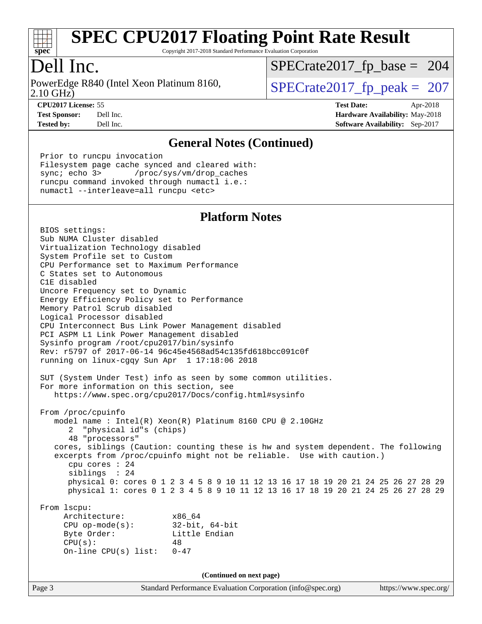

Copyright 2017-2018 Standard Performance Evaluation Corporation

## Dell Inc.

2.10 GHz) PowerEdge R840 (Intel Xeon Platinum 8160,  $\vert$  [SPECrate2017\\_fp\\_peak =](http://www.spec.org/auto/cpu2017/Docs/result-fields.html#SPECrate2017fppeak) 207

[SPECrate2017\\_fp\\_base =](http://www.spec.org/auto/cpu2017/Docs/result-fields.html#SPECrate2017fpbase) 204

**[Tested by:](http://www.spec.org/auto/cpu2017/Docs/result-fields.html#Testedby)** Dell Inc. **[Software Availability:](http://www.spec.org/auto/cpu2017/Docs/result-fields.html#SoftwareAvailability)** Sep-2017

**[CPU2017 License:](http://www.spec.org/auto/cpu2017/Docs/result-fields.html#CPU2017License)** 55 **[Test Date:](http://www.spec.org/auto/cpu2017/Docs/result-fields.html#TestDate)** Apr-2018 **[Test Sponsor:](http://www.spec.org/auto/cpu2017/Docs/result-fields.html#TestSponsor)** Dell Inc. **[Hardware Availability:](http://www.spec.org/auto/cpu2017/Docs/result-fields.html#HardwareAvailability)** May-2018

#### **[General Notes \(Continued\)](http://www.spec.org/auto/cpu2017/Docs/result-fields.html#GeneralNotes)**

 Prior to runcpu invocation Filesystem page cache synced and cleared with: sync; echo 3> /proc/sys/vm/drop\_caches runcpu command invoked through numactl i.e.: numactl --interleave=all runcpu <etc>

#### **[Platform Notes](http://www.spec.org/auto/cpu2017/Docs/result-fields.html#PlatformNotes)**

 BIOS settings: Sub NUMA Cluster disabled Virtualization Technology disabled System Profile set to Custom CPU Performance set to Maximum Performance C States set to Autonomous C1E disabled Uncore Frequency set to Dynamic Energy Efficiency Policy set to Performance Memory Patrol Scrub disabled Logical Processor disabled CPU Interconnect Bus Link Power Management disabled PCI ASPM L1 Link Power Management disabled Sysinfo program /root/cpu2017/bin/sysinfo Rev: r5797 of 2017-06-14 96c45e4568ad54c135fd618bcc091c0f running on linux-cgqy Sun Apr 1 17:18:06 2018 SUT (System Under Test) info as seen by some common utilities. For more information on this section, see <https://www.spec.org/cpu2017/Docs/config.html#sysinfo> From /proc/cpuinfo model name : Intel(R) Xeon(R) Platinum 8160 CPU @ 2.10GHz 2 "physical id"s (chips) 48 "processors" cores, siblings (Caution: counting these is hw and system dependent. The following excerpts from /proc/cpuinfo might not be reliable. Use with caution.) cpu cores : 24 siblings : 24 physical 0: cores 0 1 2 3 4 5 8 9 10 11 12 13 16 17 18 19 20 21 24 25 26 27 28 29 physical 1: cores 0 1 2 3 4 5 8 9 10 11 12 13 16 17 18 19 20 21 24 25 26 27 28 29 From lscpu: Architecture: x86\_64 CPU op-mode(s): 32-bit, 64-bit Byte Order: Little Endian  $CPU(s):$  48 On-line CPU(s) list: 0-47 **(Continued on next page)**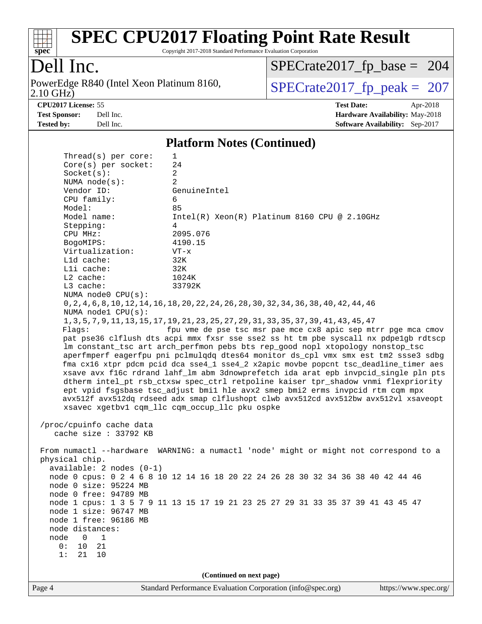

Copyright 2017-2018 Standard Performance Evaluation Corporation

## Dell Inc.

2.10 GHz) PowerEdge R840 (Intel Xeon Platinum 8160,  $\text{SPECrate2017\_fp\_peak} = 207$ 

[SPECrate2017\\_fp\\_base =](http://www.spec.org/auto/cpu2017/Docs/result-fields.html#SPECrate2017fpbase) 204

**[Tested by:](http://www.spec.org/auto/cpu2017/Docs/result-fields.html#Testedby)** Dell Inc. **[Software Availability:](http://www.spec.org/auto/cpu2017/Docs/result-fields.html#SoftwareAvailability)** Sep-2017

**[CPU2017 License:](http://www.spec.org/auto/cpu2017/Docs/result-fields.html#CPU2017License)** 55 **[Test Date:](http://www.spec.org/auto/cpu2017/Docs/result-fields.html#TestDate)** Apr-2018 **[Test Sponsor:](http://www.spec.org/auto/cpu2017/Docs/result-fields.html#TestSponsor)** Dell Inc. **[Hardware Availability:](http://www.spec.org/auto/cpu2017/Docs/result-fields.html#HardwareAvailability)** May-2018

#### **[Platform Notes \(Continued\)](http://www.spec.org/auto/cpu2017/Docs/result-fields.html#PlatformNotes)**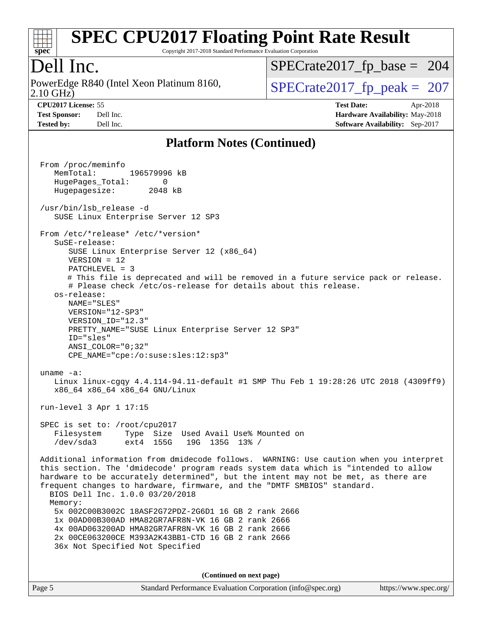

Copyright 2017-2018 Standard Performance Evaluation Corporation

### Dell Inc.

2.10 GHz) PowerEdge R840 (Intel Xeon Platinum 8160,  $\vert$  [SPECrate2017\\_fp\\_peak =](http://www.spec.org/auto/cpu2017/Docs/result-fields.html#SPECrate2017fppeak) 207

[SPECrate2017\\_fp\\_base =](http://www.spec.org/auto/cpu2017/Docs/result-fields.html#SPECrate2017fpbase) 204

**[CPU2017 License:](http://www.spec.org/auto/cpu2017/Docs/result-fields.html#CPU2017License)** 55 **[Test Date:](http://www.spec.org/auto/cpu2017/Docs/result-fields.html#TestDate)** Apr-2018

**[Test Sponsor:](http://www.spec.org/auto/cpu2017/Docs/result-fields.html#TestSponsor)** Dell Inc. **[Hardware Availability:](http://www.spec.org/auto/cpu2017/Docs/result-fields.html#HardwareAvailability)** May-2018 **[Tested by:](http://www.spec.org/auto/cpu2017/Docs/result-fields.html#Testedby)** Dell Inc. **[Software Availability:](http://www.spec.org/auto/cpu2017/Docs/result-fields.html#SoftwareAvailability)** Sep-2017

#### **[Platform Notes \(Continued\)](http://www.spec.org/auto/cpu2017/Docs/result-fields.html#PlatformNotes)**

 From /proc/meminfo MemTotal: 196579996 kB HugePages\_Total: 0 Hugepagesize: 2048 kB /usr/bin/lsb\_release -d SUSE Linux Enterprise Server 12 SP3 From /etc/\*release\* /etc/\*version\* SuSE-release: SUSE Linux Enterprise Server 12 (x86\_64) VERSION = 12 PATCHLEVEL = 3 # This file is deprecated and will be removed in a future service pack or release. # Please check /etc/os-release for details about this release. os-release: NAME="SLES" VERSION="12-SP3" VERSION\_ID="12.3" PRETTY\_NAME="SUSE Linux Enterprise Server 12 SP3" ID="sles" ANSI\_COLOR="0;32" CPE\_NAME="cpe:/o:suse:sles:12:sp3" uname -a: Linux linux-cgqy 4.4.114-94.11-default #1 SMP Thu Feb 1 19:28:26 UTC 2018 (4309ff9) x86\_64 x86\_64 x86\_64 GNU/Linux run-level 3 Apr 1 17:15 SPEC is set to: /root/cpu2017 Filesystem Type Size Used Avail Use% Mounted on /dev/sda3 ext4 155G 19G 135G 13% / Additional information from dmidecode follows. WARNING: Use caution when you interpret this section. The 'dmidecode' program reads system data which is "intended to allow hardware to be accurately determined", but the intent may not be met, as there are frequent changes to hardware, firmware, and the "DMTF SMBIOS" standard. BIOS Dell Inc. 1.0.0 03/20/2018 Memory: 5x 002C00B3002C 18ASF2G72PDZ-2G6D1 16 GB 2 rank 2666 1x 00AD00B300AD HMA82GR7AFR8N-VK 16 GB 2 rank 2666 4x 00AD063200AD HMA82GR7AFR8N-VK 16 GB 2 rank 2666 2x 00CE063200CE M393A2K43BB1-CTD 16 GB 2 rank 2666 36x Not Specified Not Specified **(Continued on next page)**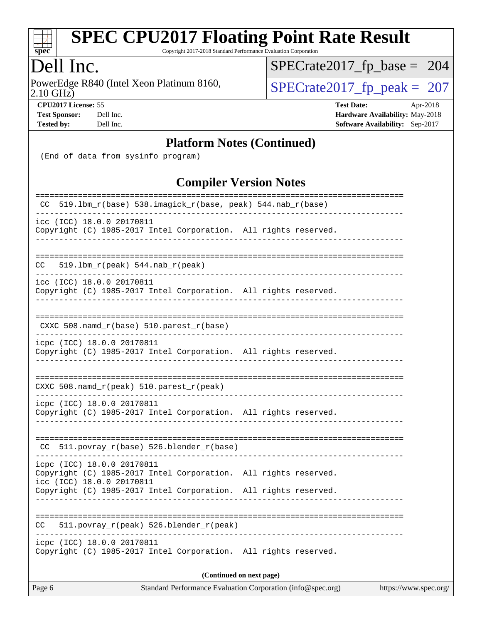

Copyright 2017-2018 Standard Performance Evaluation Corporation

### Dell Inc.

2.10 GHz) PowerEdge R840 (Intel Xeon Platinum 8160,  $\text{SPECrate2017\_fp\_peak} = 207$ 

[SPECrate2017\\_fp\\_base =](http://www.spec.org/auto/cpu2017/Docs/result-fields.html#SPECrate2017fpbase) 204

**[CPU2017 License:](http://www.spec.org/auto/cpu2017/Docs/result-fields.html#CPU2017License)** 55 **[Test Date:](http://www.spec.org/auto/cpu2017/Docs/result-fields.html#TestDate)** Apr-2018 **[Test Sponsor:](http://www.spec.org/auto/cpu2017/Docs/result-fields.html#TestSponsor)** Dell Inc. **[Hardware Availability:](http://www.spec.org/auto/cpu2017/Docs/result-fields.html#HardwareAvailability)** May-2018 **[Tested by:](http://www.spec.org/auto/cpu2017/Docs/result-fields.html#Testedby)** Dell Inc. **[Software Availability:](http://www.spec.org/auto/cpu2017/Docs/result-fields.html#SoftwareAvailability)** Sep-2017

#### **[Platform Notes \(Continued\)](http://www.spec.org/auto/cpu2017/Docs/result-fields.html#PlatformNotes)**

(End of data from sysinfo program)

#### **[Compiler Version Notes](http://www.spec.org/auto/cpu2017/Docs/result-fields.html#CompilerVersionNotes)**

| Standard Performance Evaluation Corporation (info@spec.org)<br>https://www.spec.org/<br>Page 6                             |
|----------------------------------------------------------------------------------------------------------------------------|
| (Continued on next page)                                                                                                   |
| icpc (ICC) 18.0.0 20170811<br>Copyright (C) 1985-2017 Intel Corporation. All rights reserved.                              |
| 511.povray_r(peak) 526.blender_r(peak)<br>CC                                                                               |
| Copyright (C) 1985-2017 Intel Corporation. All rights reserved.                                                            |
| icpc (ICC) 18.0.0 20170811<br>Copyright (C) 1985-2017 Intel Corporation. All rights reserved.<br>icc (ICC) 18.0.0 20170811 |
| CC 511.povray_r(base) 526.blender_r(base)                                                                                  |
| icpc (ICC) 18.0.0 20170811<br>Copyright (C) 1985-2017 Intel Corporation. All rights reserved.                              |
| CXXC 508.namd_r(peak) 510.parest_r(peak)                                                                                   |
| icpc (ICC) 18.0.0 20170811<br>Copyright (C) 1985-2017 Intel Corporation. All rights reserved.                              |
| CXXC 508.namd_r(base) 510.parest_r(base)                                                                                   |
| icc (ICC) 18.0.0 20170811<br>Copyright (C) 1985-2017 Intel Corporation. All rights reserved.                               |
| 519.1bm_r(peak) 544.nab_r(peak)<br>CC                                                                                      |
| icc (ICC) 18.0.0 20170811<br>Copyright (C) 1985-2017 Intel Corporation. All rights reserved.                               |
| CC 519.1bm_r(base) 538.imagick_r(base, peak) 544.nab_r(base)<br>---------------------------------                          |
|                                                                                                                            |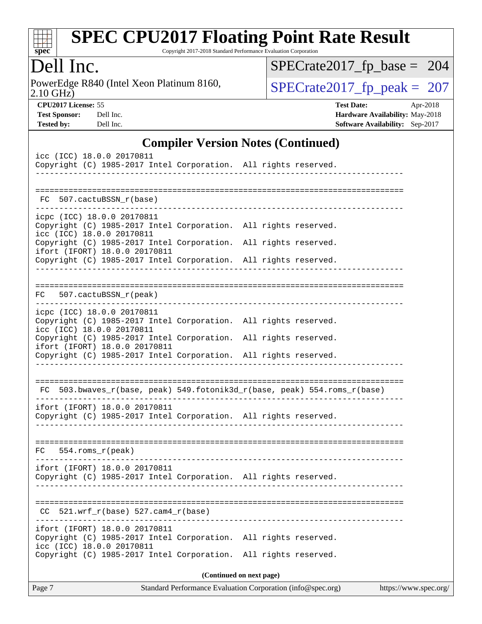

Copyright 2017-2018 Standard Performance Evaluation Corporation

### Dell Inc.

2.10 GHz) PowerEdge R840 (Intel Xeon Platinum 8160,  $\text{SPECrate2017\_fp\_peak} = 207$ 

[SPECrate2017\\_fp\\_base =](http://www.spec.org/auto/cpu2017/Docs/result-fields.html#SPECrate2017fpbase) 204

**[CPU2017 License:](http://www.spec.org/auto/cpu2017/Docs/result-fields.html#CPU2017License)** 55 **[Test Date:](http://www.spec.org/auto/cpu2017/Docs/result-fields.html#TestDate)** Apr-2018 **[Test Sponsor:](http://www.spec.org/auto/cpu2017/Docs/result-fields.html#TestSponsor)** Dell Inc. **[Hardware Availability:](http://www.spec.org/auto/cpu2017/Docs/result-fields.html#HardwareAvailability)** May-2018 **[Tested by:](http://www.spec.org/auto/cpu2017/Docs/result-fields.html#Testedby)** Dell Inc. **[Software Availability:](http://www.spec.org/auto/cpu2017/Docs/result-fields.html#SoftwareAvailability)** Sep-2017

#### **[Compiler Version Notes \(Continued\)](http://www.spec.org/auto/cpu2017/Docs/result-fields.html#CompilerVersionNotes)**

| ifort (IFORT) 18.0.0 20170811<br>Copyright (C) 1985-2017 Intel Corporation. All rights reserved.<br>icc (ICC) 18.0.0 20170811<br>Copyright (C) 1985-2017 Intel Corporation. |                            | All rights reserved.                                                                                           |
|-----------------------------------------------------------------------------------------------------------------------------------------------------------------------------|----------------------------|----------------------------------------------------------------------------------------------------------------|
|                                                                                                                                                                             |                            |                                                                                                                |
| $521.wrf_r(base) 527.cam4_r(base)$<br>CC.                                                                                                                                   |                            |                                                                                                                |
| ifort (IFORT) 18.0.0 20170811<br>Copyright (C) 1985-2017 Intel Corporation. All rights reserved.                                                                            |                            |                                                                                                                |
| 554.roms_r(peak)<br>FC                                                                                                                                                      |                            |                                                                                                                |
| ifort (IFORT) 18.0.0 20170811<br>Copyright (C) 1985-2017 Intel Corporation. All rights reserved.                                                                            |                            |                                                                                                                |
|                                                                                                                                                                             |                            | FC 503.bwaves_r(base, peak) 549.fotonik3d_r(base, peak) 554.roms_r(base)<br>__________________________________ |
| ifort (IFORT) 18.0.0 20170811<br>Copyright (C) 1985-2017 Intel Corporation. All rights reserved.                                                                            | ______________             |                                                                                                                |
| icc (ICC) 18.0.0 20170811<br>Copyright (C) 1985-2017 Intel Corporation. All rights reserved.                                                                                |                            |                                                                                                                |
| icpc (ICC) 18.0.0 20170811<br>Copyright (C) 1985-2017 Intel Corporation. All rights reserved.                                                                               |                            |                                                                                                                |
| FC 507.cactuBSSN_r(peak)                                                                                                                                                    |                            |                                                                                                                |
| Copyright (C) 1985-2017 Intel Corporation. All rights reserved.                                                                                                             |                            |                                                                                                                |
| icc (ICC) 18.0.0 20170811<br>Copyright (C) 1985-2017 Intel Corporation. All rights reserved.<br>ifort (IFORT) 18.0.0 20170811                                               |                            |                                                                                                                |
| icpc (ICC) 18.0.0 20170811<br>Copyright (C) 1985-2017 Intel Corporation. All rights reserved.                                                                               |                            |                                                                                                                |
| FC 507.cactuBSSN r(base)                                                                                                                                                    |                            |                                                                                                                |
|                                                                                                                                                                             | __________________________ |                                                                                                                |
| Copyright (C) 1985-2017 Intel Corporation. All rights reserved.                                                                                                             |                            |                                                                                                                |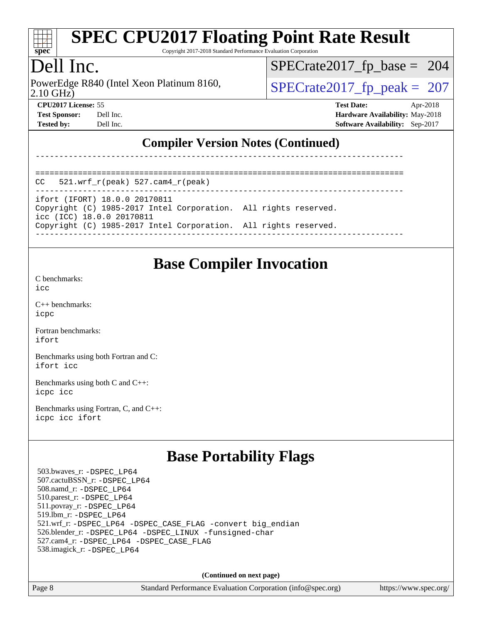

Copyright 2017-2018 Standard Performance Evaluation Corporation

## Dell Inc.

2.10 GHz) PowerEdge R840 (Intel Xeon Platinum 8160,  $\vert$  [SPECrate2017\\_fp\\_peak =](http://www.spec.org/auto/cpu2017/Docs/result-fields.html#SPECrate2017fppeak) 207

[SPECrate2017\\_fp\\_base =](http://www.spec.org/auto/cpu2017/Docs/result-fields.html#SPECrate2017fpbase) 204

**[CPU2017 License:](http://www.spec.org/auto/cpu2017/Docs/result-fields.html#CPU2017License)** 55 **[Test Date:](http://www.spec.org/auto/cpu2017/Docs/result-fields.html#TestDate)** Apr-2018 **[Test Sponsor:](http://www.spec.org/auto/cpu2017/Docs/result-fields.html#TestSponsor)** Dell Inc. **[Hardware Availability:](http://www.spec.org/auto/cpu2017/Docs/result-fields.html#HardwareAvailability)** May-2018 **[Tested by:](http://www.spec.org/auto/cpu2017/Docs/result-fields.html#Testedby)** Dell Inc. **[Software Availability:](http://www.spec.org/auto/cpu2017/Docs/result-fields.html#SoftwareAvailability)** Sep-2017

#### **[Compiler Version Notes \(Continued\)](http://www.spec.org/auto/cpu2017/Docs/result-fields.html#CompilerVersionNotes)**

------------------------------------------------------------------------------

| $\sim$ $\sim$ |  |  |  |  |  |  |  |  |  |  |  |  |  |  |  |  |  |  |  |
|---------------|--|--|--|--|--|--|--|--|--|--|--|--|--|--|--|--|--|--|--|

|  |  |  | $  -$ |
|--|--|--|-------|

ifort (IFORT) 18.0.0 20170811 Copyright (C) 1985-2017 Intel Corporation. All rights reserved. icc (ICC) 18.0.0 20170811

Copyright (C) 1985-2017 Intel Corporation. All rights reserved.

------------------------------------------------------------------------------

### **[Base Compiler Invocation](http://www.spec.org/auto/cpu2017/Docs/result-fields.html#BaseCompilerInvocation)**

[C benchmarks](http://www.spec.org/auto/cpu2017/Docs/result-fields.html#Cbenchmarks):

[icc](http://www.spec.org/cpu2017/results/res2018q2/cpu2017-20180514-05556.flags.html#user_CCbase_intel_icc_18.0_66fc1ee009f7361af1fbd72ca7dcefbb700085f36577c54f309893dd4ec40d12360134090235512931783d35fd58c0460139e722d5067c5574d8eaf2b3e37e92)

[C++ benchmarks:](http://www.spec.org/auto/cpu2017/Docs/result-fields.html#CXXbenchmarks) [icpc](http://www.spec.org/cpu2017/results/res2018q2/cpu2017-20180514-05556.flags.html#user_CXXbase_intel_icpc_18.0_c510b6838c7f56d33e37e94d029a35b4a7bccf4766a728ee175e80a419847e808290a9b78be685c44ab727ea267ec2f070ec5dc83b407c0218cded6866a35d07)

[Fortran benchmarks](http://www.spec.org/auto/cpu2017/Docs/result-fields.html#Fortranbenchmarks): [ifort](http://www.spec.org/cpu2017/results/res2018q2/cpu2017-20180514-05556.flags.html#user_FCbase_intel_ifort_18.0_8111460550e3ca792625aed983ce982f94888b8b503583aa7ba2b8303487b4d8a21a13e7191a45c5fd58ff318f48f9492884d4413fa793fd88dd292cad7027ca)

[Benchmarks using both Fortran and C](http://www.spec.org/auto/cpu2017/Docs/result-fields.html#BenchmarksusingbothFortranandC): [ifort](http://www.spec.org/cpu2017/results/res2018q2/cpu2017-20180514-05556.flags.html#user_CC_FCbase_intel_ifort_18.0_8111460550e3ca792625aed983ce982f94888b8b503583aa7ba2b8303487b4d8a21a13e7191a45c5fd58ff318f48f9492884d4413fa793fd88dd292cad7027ca) [icc](http://www.spec.org/cpu2017/results/res2018q2/cpu2017-20180514-05556.flags.html#user_CC_FCbase_intel_icc_18.0_66fc1ee009f7361af1fbd72ca7dcefbb700085f36577c54f309893dd4ec40d12360134090235512931783d35fd58c0460139e722d5067c5574d8eaf2b3e37e92)

[Benchmarks using both C and C++](http://www.spec.org/auto/cpu2017/Docs/result-fields.html#BenchmarksusingbothCandCXX): [icpc](http://www.spec.org/cpu2017/results/res2018q2/cpu2017-20180514-05556.flags.html#user_CC_CXXbase_intel_icpc_18.0_c510b6838c7f56d33e37e94d029a35b4a7bccf4766a728ee175e80a419847e808290a9b78be685c44ab727ea267ec2f070ec5dc83b407c0218cded6866a35d07) [icc](http://www.spec.org/cpu2017/results/res2018q2/cpu2017-20180514-05556.flags.html#user_CC_CXXbase_intel_icc_18.0_66fc1ee009f7361af1fbd72ca7dcefbb700085f36577c54f309893dd4ec40d12360134090235512931783d35fd58c0460139e722d5067c5574d8eaf2b3e37e92)

[Benchmarks using Fortran, C, and C++:](http://www.spec.org/auto/cpu2017/Docs/result-fields.html#BenchmarksusingFortranCandCXX) [icpc](http://www.spec.org/cpu2017/results/res2018q2/cpu2017-20180514-05556.flags.html#user_CC_CXX_FCbase_intel_icpc_18.0_c510b6838c7f56d33e37e94d029a35b4a7bccf4766a728ee175e80a419847e808290a9b78be685c44ab727ea267ec2f070ec5dc83b407c0218cded6866a35d07) [icc](http://www.spec.org/cpu2017/results/res2018q2/cpu2017-20180514-05556.flags.html#user_CC_CXX_FCbase_intel_icc_18.0_66fc1ee009f7361af1fbd72ca7dcefbb700085f36577c54f309893dd4ec40d12360134090235512931783d35fd58c0460139e722d5067c5574d8eaf2b3e37e92) [ifort](http://www.spec.org/cpu2017/results/res2018q2/cpu2017-20180514-05556.flags.html#user_CC_CXX_FCbase_intel_ifort_18.0_8111460550e3ca792625aed983ce982f94888b8b503583aa7ba2b8303487b4d8a21a13e7191a45c5fd58ff318f48f9492884d4413fa793fd88dd292cad7027ca)

### **[Base Portability Flags](http://www.spec.org/auto/cpu2017/Docs/result-fields.html#BasePortabilityFlags)**

 503.bwaves\_r: [-DSPEC\\_LP64](http://www.spec.org/cpu2017/results/res2018q2/cpu2017-20180514-05556.flags.html#suite_basePORTABILITY503_bwaves_r_DSPEC_LP64) 507.cactuBSSN\_r: [-DSPEC\\_LP64](http://www.spec.org/cpu2017/results/res2018q2/cpu2017-20180514-05556.flags.html#suite_basePORTABILITY507_cactuBSSN_r_DSPEC_LP64) 508.namd\_r: [-DSPEC\\_LP64](http://www.spec.org/cpu2017/results/res2018q2/cpu2017-20180514-05556.flags.html#suite_basePORTABILITY508_namd_r_DSPEC_LP64) 510.parest\_r: [-DSPEC\\_LP64](http://www.spec.org/cpu2017/results/res2018q2/cpu2017-20180514-05556.flags.html#suite_basePORTABILITY510_parest_r_DSPEC_LP64) 511.povray\_r: [-DSPEC\\_LP64](http://www.spec.org/cpu2017/results/res2018q2/cpu2017-20180514-05556.flags.html#suite_basePORTABILITY511_povray_r_DSPEC_LP64) 519.lbm\_r: [-DSPEC\\_LP64](http://www.spec.org/cpu2017/results/res2018q2/cpu2017-20180514-05556.flags.html#suite_basePORTABILITY519_lbm_r_DSPEC_LP64) 521.wrf\_r: [-DSPEC\\_LP64](http://www.spec.org/cpu2017/results/res2018q2/cpu2017-20180514-05556.flags.html#suite_basePORTABILITY521_wrf_r_DSPEC_LP64) [-DSPEC\\_CASE\\_FLAG](http://www.spec.org/cpu2017/results/res2018q2/cpu2017-20180514-05556.flags.html#b521.wrf_r_baseCPORTABILITY_DSPEC_CASE_FLAG) [-convert big\\_endian](http://www.spec.org/cpu2017/results/res2018q2/cpu2017-20180514-05556.flags.html#user_baseFPORTABILITY521_wrf_r_convert_big_endian_c3194028bc08c63ac5d04de18c48ce6d347e4e562e8892b8bdbdc0214820426deb8554edfa529a3fb25a586e65a3d812c835984020483e7e73212c4d31a38223) 526.blender\_r: [-DSPEC\\_LP64](http://www.spec.org/cpu2017/results/res2018q2/cpu2017-20180514-05556.flags.html#suite_basePORTABILITY526_blender_r_DSPEC_LP64) [-DSPEC\\_LINUX](http://www.spec.org/cpu2017/results/res2018q2/cpu2017-20180514-05556.flags.html#b526.blender_r_baseCPORTABILITY_DSPEC_LINUX) [-funsigned-char](http://www.spec.org/cpu2017/results/res2018q2/cpu2017-20180514-05556.flags.html#user_baseCPORTABILITY526_blender_r_force_uchar_40c60f00ab013830e2dd6774aeded3ff59883ba5a1fc5fc14077f794d777847726e2a5858cbc7672e36e1b067e7e5c1d9a74f7176df07886a243d7cc18edfe67) 527.cam4\_r: [-DSPEC\\_LP64](http://www.spec.org/cpu2017/results/res2018q2/cpu2017-20180514-05556.flags.html#suite_basePORTABILITY527_cam4_r_DSPEC_LP64) [-DSPEC\\_CASE\\_FLAG](http://www.spec.org/cpu2017/results/res2018q2/cpu2017-20180514-05556.flags.html#b527.cam4_r_baseCPORTABILITY_DSPEC_CASE_FLAG) 538.imagick\_r: [-DSPEC\\_LP64](http://www.spec.org/cpu2017/results/res2018q2/cpu2017-20180514-05556.flags.html#suite_basePORTABILITY538_imagick_r_DSPEC_LP64)

**(Continued on next page)**

Page 8 Standard Performance Evaluation Corporation [\(info@spec.org\)](mailto:info@spec.org) <https://www.spec.org/>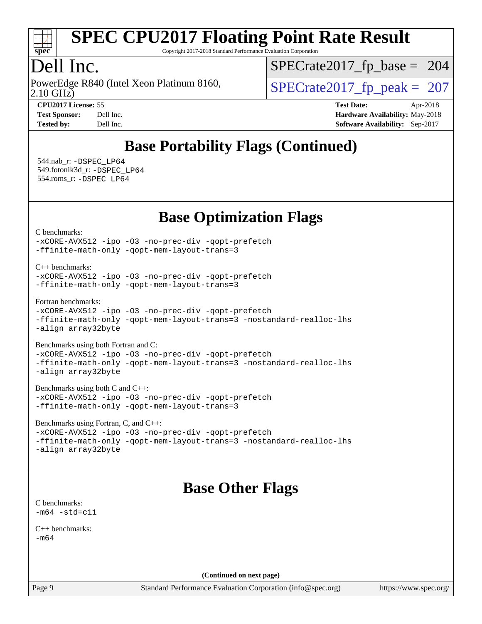

Copyright 2017-2018 Standard Performance Evaluation Corporation

## Dell Inc.

2.10 GHz) PowerEdge R840 (Intel Xeon Platinum 8160,  $\vert$  [SPECrate2017\\_fp\\_peak =](http://www.spec.org/auto/cpu2017/Docs/result-fields.html#SPECrate2017fppeak) 207

[SPECrate2017\\_fp\\_base =](http://www.spec.org/auto/cpu2017/Docs/result-fields.html#SPECrate2017fpbase) 204

**[CPU2017 License:](http://www.spec.org/auto/cpu2017/Docs/result-fields.html#CPU2017License)** 55 **[Test Date:](http://www.spec.org/auto/cpu2017/Docs/result-fields.html#TestDate)** Apr-2018 **[Test Sponsor:](http://www.spec.org/auto/cpu2017/Docs/result-fields.html#TestSponsor)** Dell Inc. **[Hardware Availability:](http://www.spec.org/auto/cpu2017/Docs/result-fields.html#HardwareAvailability)** May-2018 **[Tested by:](http://www.spec.org/auto/cpu2017/Docs/result-fields.html#Testedby)** Dell Inc. **[Software Availability:](http://www.spec.org/auto/cpu2017/Docs/result-fields.html#SoftwareAvailability)** Sep-2017

## **[Base Portability Flags \(Continued\)](http://www.spec.org/auto/cpu2017/Docs/result-fields.html#BasePortabilityFlags)**

 544.nab\_r: [-DSPEC\\_LP64](http://www.spec.org/cpu2017/results/res2018q2/cpu2017-20180514-05556.flags.html#suite_basePORTABILITY544_nab_r_DSPEC_LP64) 549.fotonik3d\_r: [-DSPEC\\_LP64](http://www.spec.org/cpu2017/results/res2018q2/cpu2017-20180514-05556.flags.html#suite_basePORTABILITY549_fotonik3d_r_DSPEC_LP64) 554.roms\_r: [-DSPEC\\_LP64](http://www.spec.org/cpu2017/results/res2018q2/cpu2017-20180514-05556.flags.html#suite_basePORTABILITY554_roms_r_DSPEC_LP64)

**[Base Optimization Flags](http://www.spec.org/auto/cpu2017/Docs/result-fields.html#BaseOptimizationFlags)**

[C benchmarks](http://www.spec.org/auto/cpu2017/Docs/result-fields.html#Cbenchmarks):

[-xCORE-AVX512](http://www.spec.org/cpu2017/results/res2018q2/cpu2017-20180514-05556.flags.html#user_CCbase_f-xCORE-AVX512) [-ipo](http://www.spec.org/cpu2017/results/res2018q2/cpu2017-20180514-05556.flags.html#user_CCbase_f-ipo) [-O3](http://www.spec.org/cpu2017/results/res2018q2/cpu2017-20180514-05556.flags.html#user_CCbase_f-O3) [-no-prec-div](http://www.spec.org/cpu2017/results/res2018q2/cpu2017-20180514-05556.flags.html#user_CCbase_f-no-prec-div) [-qopt-prefetch](http://www.spec.org/cpu2017/results/res2018q2/cpu2017-20180514-05556.flags.html#user_CCbase_f-qopt-prefetch) [-ffinite-math-only](http://www.spec.org/cpu2017/results/res2018q2/cpu2017-20180514-05556.flags.html#user_CCbase_f_finite_math_only_cb91587bd2077682c4b38af759c288ed7c732db004271a9512da14a4f8007909a5f1427ecbf1a0fb78ff2a814402c6114ac565ca162485bbcae155b5e4258871) [-qopt-mem-layout-trans=3](http://www.spec.org/cpu2017/results/res2018q2/cpu2017-20180514-05556.flags.html#user_CCbase_f-qopt-mem-layout-trans_de80db37974c74b1f0e20d883f0b675c88c3b01e9d123adea9b28688d64333345fb62bc4a798493513fdb68f60282f9a726aa07f478b2f7113531aecce732043)

[C++ benchmarks:](http://www.spec.org/auto/cpu2017/Docs/result-fields.html#CXXbenchmarks)

[-xCORE-AVX512](http://www.spec.org/cpu2017/results/res2018q2/cpu2017-20180514-05556.flags.html#user_CXXbase_f-xCORE-AVX512) [-ipo](http://www.spec.org/cpu2017/results/res2018q2/cpu2017-20180514-05556.flags.html#user_CXXbase_f-ipo) [-O3](http://www.spec.org/cpu2017/results/res2018q2/cpu2017-20180514-05556.flags.html#user_CXXbase_f-O3) [-no-prec-div](http://www.spec.org/cpu2017/results/res2018q2/cpu2017-20180514-05556.flags.html#user_CXXbase_f-no-prec-div) [-qopt-prefetch](http://www.spec.org/cpu2017/results/res2018q2/cpu2017-20180514-05556.flags.html#user_CXXbase_f-qopt-prefetch) [-ffinite-math-only](http://www.spec.org/cpu2017/results/res2018q2/cpu2017-20180514-05556.flags.html#user_CXXbase_f_finite_math_only_cb91587bd2077682c4b38af759c288ed7c732db004271a9512da14a4f8007909a5f1427ecbf1a0fb78ff2a814402c6114ac565ca162485bbcae155b5e4258871) [-qopt-mem-layout-trans=3](http://www.spec.org/cpu2017/results/res2018q2/cpu2017-20180514-05556.flags.html#user_CXXbase_f-qopt-mem-layout-trans_de80db37974c74b1f0e20d883f0b675c88c3b01e9d123adea9b28688d64333345fb62bc4a798493513fdb68f60282f9a726aa07f478b2f7113531aecce732043)

[Fortran benchmarks](http://www.spec.org/auto/cpu2017/Docs/result-fields.html#Fortranbenchmarks):

[-xCORE-AVX512](http://www.spec.org/cpu2017/results/res2018q2/cpu2017-20180514-05556.flags.html#user_FCbase_f-xCORE-AVX512) [-ipo](http://www.spec.org/cpu2017/results/res2018q2/cpu2017-20180514-05556.flags.html#user_FCbase_f-ipo) [-O3](http://www.spec.org/cpu2017/results/res2018q2/cpu2017-20180514-05556.flags.html#user_FCbase_f-O3) [-no-prec-div](http://www.spec.org/cpu2017/results/res2018q2/cpu2017-20180514-05556.flags.html#user_FCbase_f-no-prec-div) [-qopt-prefetch](http://www.spec.org/cpu2017/results/res2018q2/cpu2017-20180514-05556.flags.html#user_FCbase_f-qopt-prefetch) [-ffinite-math-only](http://www.spec.org/cpu2017/results/res2018q2/cpu2017-20180514-05556.flags.html#user_FCbase_f_finite_math_only_cb91587bd2077682c4b38af759c288ed7c732db004271a9512da14a4f8007909a5f1427ecbf1a0fb78ff2a814402c6114ac565ca162485bbcae155b5e4258871) [-qopt-mem-layout-trans=3](http://www.spec.org/cpu2017/results/res2018q2/cpu2017-20180514-05556.flags.html#user_FCbase_f-qopt-mem-layout-trans_de80db37974c74b1f0e20d883f0b675c88c3b01e9d123adea9b28688d64333345fb62bc4a798493513fdb68f60282f9a726aa07f478b2f7113531aecce732043) [-nostandard-realloc-lhs](http://www.spec.org/cpu2017/results/res2018q2/cpu2017-20180514-05556.flags.html#user_FCbase_f_2003_std_realloc_82b4557e90729c0f113870c07e44d33d6f5a304b4f63d4c15d2d0f1fab99f5daaed73bdb9275d9ae411527f28b936061aa8b9c8f2d63842963b95c9dd6426b8a) [-align array32byte](http://www.spec.org/cpu2017/results/res2018q2/cpu2017-20180514-05556.flags.html#user_FCbase_align_array32byte_b982fe038af199962ba9a80c053b8342c548c85b40b8e86eb3cc33dee0d7986a4af373ac2d51c3f7cf710a18d62fdce2948f201cd044323541f22fc0fffc51b6)

[Benchmarks using both Fortran and C](http://www.spec.org/auto/cpu2017/Docs/result-fields.html#BenchmarksusingbothFortranandC):

[-xCORE-AVX512](http://www.spec.org/cpu2017/results/res2018q2/cpu2017-20180514-05556.flags.html#user_CC_FCbase_f-xCORE-AVX512) [-ipo](http://www.spec.org/cpu2017/results/res2018q2/cpu2017-20180514-05556.flags.html#user_CC_FCbase_f-ipo) [-O3](http://www.spec.org/cpu2017/results/res2018q2/cpu2017-20180514-05556.flags.html#user_CC_FCbase_f-O3) [-no-prec-div](http://www.spec.org/cpu2017/results/res2018q2/cpu2017-20180514-05556.flags.html#user_CC_FCbase_f-no-prec-div) [-qopt-prefetch](http://www.spec.org/cpu2017/results/res2018q2/cpu2017-20180514-05556.flags.html#user_CC_FCbase_f-qopt-prefetch) [-ffinite-math-only](http://www.spec.org/cpu2017/results/res2018q2/cpu2017-20180514-05556.flags.html#user_CC_FCbase_f_finite_math_only_cb91587bd2077682c4b38af759c288ed7c732db004271a9512da14a4f8007909a5f1427ecbf1a0fb78ff2a814402c6114ac565ca162485bbcae155b5e4258871) [-qopt-mem-layout-trans=3](http://www.spec.org/cpu2017/results/res2018q2/cpu2017-20180514-05556.flags.html#user_CC_FCbase_f-qopt-mem-layout-trans_de80db37974c74b1f0e20d883f0b675c88c3b01e9d123adea9b28688d64333345fb62bc4a798493513fdb68f60282f9a726aa07f478b2f7113531aecce732043) [-nostandard-realloc-lhs](http://www.spec.org/cpu2017/results/res2018q2/cpu2017-20180514-05556.flags.html#user_CC_FCbase_f_2003_std_realloc_82b4557e90729c0f113870c07e44d33d6f5a304b4f63d4c15d2d0f1fab99f5daaed73bdb9275d9ae411527f28b936061aa8b9c8f2d63842963b95c9dd6426b8a) [-align array32byte](http://www.spec.org/cpu2017/results/res2018q2/cpu2017-20180514-05556.flags.html#user_CC_FCbase_align_array32byte_b982fe038af199962ba9a80c053b8342c548c85b40b8e86eb3cc33dee0d7986a4af373ac2d51c3f7cf710a18d62fdce2948f201cd044323541f22fc0fffc51b6)

[Benchmarks using both C and C++](http://www.spec.org/auto/cpu2017/Docs/result-fields.html#BenchmarksusingbothCandCXX):

[-xCORE-AVX512](http://www.spec.org/cpu2017/results/res2018q2/cpu2017-20180514-05556.flags.html#user_CC_CXXbase_f-xCORE-AVX512) [-ipo](http://www.spec.org/cpu2017/results/res2018q2/cpu2017-20180514-05556.flags.html#user_CC_CXXbase_f-ipo) [-O3](http://www.spec.org/cpu2017/results/res2018q2/cpu2017-20180514-05556.flags.html#user_CC_CXXbase_f-O3) [-no-prec-div](http://www.spec.org/cpu2017/results/res2018q2/cpu2017-20180514-05556.flags.html#user_CC_CXXbase_f-no-prec-div) [-qopt-prefetch](http://www.spec.org/cpu2017/results/res2018q2/cpu2017-20180514-05556.flags.html#user_CC_CXXbase_f-qopt-prefetch) [-ffinite-math-only](http://www.spec.org/cpu2017/results/res2018q2/cpu2017-20180514-05556.flags.html#user_CC_CXXbase_f_finite_math_only_cb91587bd2077682c4b38af759c288ed7c732db004271a9512da14a4f8007909a5f1427ecbf1a0fb78ff2a814402c6114ac565ca162485bbcae155b5e4258871) [-qopt-mem-layout-trans=3](http://www.spec.org/cpu2017/results/res2018q2/cpu2017-20180514-05556.flags.html#user_CC_CXXbase_f-qopt-mem-layout-trans_de80db37974c74b1f0e20d883f0b675c88c3b01e9d123adea9b28688d64333345fb62bc4a798493513fdb68f60282f9a726aa07f478b2f7113531aecce732043)

[Benchmarks using Fortran, C, and C++:](http://www.spec.org/auto/cpu2017/Docs/result-fields.html#BenchmarksusingFortranCandCXX)

[-xCORE-AVX512](http://www.spec.org/cpu2017/results/res2018q2/cpu2017-20180514-05556.flags.html#user_CC_CXX_FCbase_f-xCORE-AVX512) [-ipo](http://www.spec.org/cpu2017/results/res2018q2/cpu2017-20180514-05556.flags.html#user_CC_CXX_FCbase_f-ipo) [-O3](http://www.spec.org/cpu2017/results/res2018q2/cpu2017-20180514-05556.flags.html#user_CC_CXX_FCbase_f-O3) [-no-prec-div](http://www.spec.org/cpu2017/results/res2018q2/cpu2017-20180514-05556.flags.html#user_CC_CXX_FCbase_f-no-prec-div) [-qopt-prefetch](http://www.spec.org/cpu2017/results/res2018q2/cpu2017-20180514-05556.flags.html#user_CC_CXX_FCbase_f-qopt-prefetch) [-ffinite-math-only](http://www.spec.org/cpu2017/results/res2018q2/cpu2017-20180514-05556.flags.html#user_CC_CXX_FCbase_f_finite_math_only_cb91587bd2077682c4b38af759c288ed7c732db004271a9512da14a4f8007909a5f1427ecbf1a0fb78ff2a814402c6114ac565ca162485bbcae155b5e4258871) [-qopt-mem-layout-trans=3](http://www.spec.org/cpu2017/results/res2018q2/cpu2017-20180514-05556.flags.html#user_CC_CXX_FCbase_f-qopt-mem-layout-trans_de80db37974c74b1f0e20d883f0b675c88c3b01e9d123adea9b28688d64333345fb62bc4a798493513fdb68f60282f9a726aa07f478b2f7113531aecce732043) [-nostandard-realloc-lhs](http://www.spec.org/cpu2017/results/res2018q2/cpu2017-20180514-05556.flags.html#user_CC_CXX_FCbase_f_2003_std_realloc_82b4557e90729c0f113870c07e44d33d6f5a304b4f63d4c15d2d0f1fab99f5daaed73bdb9275d9ae411527f28b936061aa8b9c8f2d63842963b95c9dd6426b8a) [-align array32byte](http://www.spec.org/cpu2017/results/res2018q2/cpu2017-20180514-05556.flags.html#user_CC_CXX_FCbase_align_array32byte_b982fe038af199962ba9a80c053b8342c548c85b40b8e86eb3cc33dee0d7986a4af373ac2d51c3f7cf710a18d62fdce2948f201cd044323541f22fc0fffc51b6)

## **[Base Other Flags](http://www.spec.org/auto/cpu2017/Docs/result-fields.html#BaseOtherFlags)**

[C benchmarks](http://www.spec.org/auto/cpu2017/Docs/result-fields.html#Cbenchmarks):  $-m64 - std= c11$  $-m64 - std= c11$ 

[C++ benchmarks:](http://www.spec.org/auto/cpu2017/Docs/result-fields.html#CXXbenchmarks) [-m64](http://www.spec.org/cpu2017/results/res2018q2/cpu2017-20180514-05556.flags.html#user_CXXbase_intel_intel64_18.0_af43caccfc8ded86e7699f2159af6efc7655f51387b94da716254467f3c01020a5059329e2569e4053f409e7c9202a7efc638f7a6d1ffb3f52dea4a3e31d82ab)

**(Continued on next page)**

Page 9 Standard Performance Evaluation Corporation [\(info@spec.org\)](mailto:info@spec.org) <https://www.spec.org/>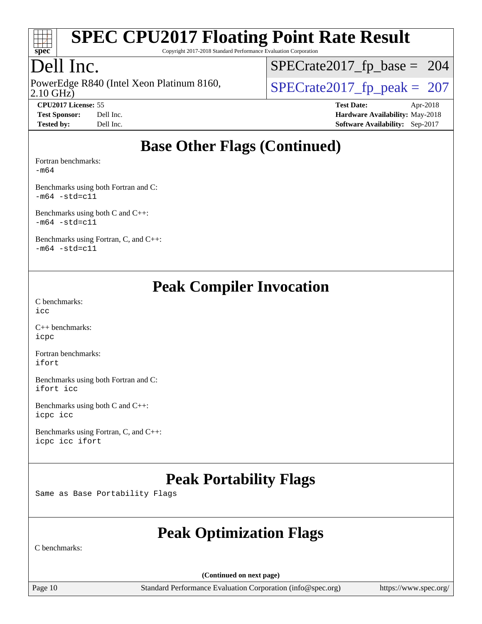

Copyright 2017-2018 Standard Performance Evaluation Corporation

## Dell Inc.

2.10 GHz) PowerEdge R840 (Intel Xeon Platinum 8160,  $\vert$  [SPECrate2017\\_fp\\_peak =](http://www.spec.org/auto/cpu2017/Docs/result-fields.html#SPECrate2017fppeak) 207

[SPECrate2017\\_fp\\_base =](http://www.spec.org/auto/cpu2017/Docs/result-fields.html#SPECrate2017fpbase) 204

**[CPU2017 License:](http://www.spec.org/auto/cpu2017/Docs/result-fields.html#CPU2017License)** 55 **[Test Date:](http://www.spec.org/auto/cpu2017/Docs/result-fields.html#TestDate)** Apr-2018 **[Test Sponsor:](http://www.spec.org/auto/cpu2017/Docs/result-fields.html#TestSponsor)** Dell Inc. **[Hardware Availability:](http://www.spec.org/auto/cpu2017/Docs/result-fields.html#HardwareAvailability)** May-2018 **[Tested by:](http://www.spec.org/auto/cpu2017/Docs/result-fields.html#Testedby)** Dell Inc. **[Software Availability:](http://www.spec.org/auto/cpu2017/Docs/result-fields.html#SoftwareAvailability)** Sep-2017

### **[Base Other Flags \(Continued\)](http://www.spec.org/auto/cpu2017/Docs/result-fields.html#BaseOtherFlags)**

[Fortran benchmarks](http://www.spec.org/auto/cpu2017/Docs/result-fields.html#Fortranbenchmarks):

[-m64](http://www.spec.org/cpu2017/results/res2018q2/cpu2017-20180514-05556.flags.html#user_FCbase_intel_intel64_18.0_af43caccfc8ded86e7699f2159af6efc7655f51387b94da716254467f3c01020a5059329e2569e4053f409e7c9202a7efc638f7a6d1ffb3f52dea4a3e31d82ab)

[Benchmarks using both Fortran and C](http://www.spec.org/auto/cpu2017/Docs/result-fields.html#BenchmarksusingbothFortranandC):  $-m64 - std= c11$  $-m64 - std= c11$ 

[Benchmarks using both C and C++](http://www.spec.org/auto/cpu2017/Docs/result-fields.html#BenchmarksusingbothCandCXX):  $-m64$   $-std=cl1$ 

[Benchmarks using Fortran, C, and C++:](http://www.spec.org/auto/cpu2017/Docs/result-fields.html#BenchmarksusingFortranCandCXX)  $-m64 - std = c11$  $-m64 - std = c11$ 

## **[Peak Compiler Invocation](http://www.spec.org/auto/cpu2017/Docs/result-fields.html#PeakCompilerInvocation)**

[C benchmarks](http://www.spec.org/auto/cpu2017/Docs/result-fields.html#Cbenchmarks): [icc](http://www.spec.org/cpu2017/results/res2018q2/cpu2017-20180514-05556.flags.html#user_CCpeak_intel_icc_18.0_66fc1ee009f7361af1fbd72ca7dcefbb700085f36577c54f309893dd4ec40d12360134090235512931783d35fd58c0460139e722d5067c5574d8eaf2b3e37e92)

[C++ benchmarks:](http://www.spec.org/auto/cpu2017/Docs/result-fields.html#CXXbenchmarks) [icpc](http://www.spec.org/cpu2017/results/res2018q2/cpu2017-20180514-05556.flags.html#user_CXXpeak_intel_icpc_18.0_c510b6838c7f56d33e37e94d029a35b4a7bccf4766a728ee175e80a419847e808290a9b78be685c44ab727ea267ec2f070ec5dc83b407c0218cded6866a35d07)

[Fortran benchmarks](http://www.spec.org/auto/cpu2017/Docs/result-fields.html#Fortranbenchmarks): [ifort](http://www.spec.org/cpu2017/results/res2018q2/cpu2017-20180514-05556.flags.html#user_FCpeak_intel_ifort_18.0_8111460550e3ca792625aed983ce982f94888b8b503583aa7ba2b8303487b4d8a21a13e7191a45c5fd58ff318f48f9492884d4413fa793fd88dd292cad7027ca)

[Benchmarks using both Fortran and C](http://www.spec.org/auto/cpu2017/Docs/result-fields.html#BenchmarksusingbothFortranandC): [ifort](http://www.spec.org/cpu2017/results/res2018q2/cpu2017-20180514-05556.flags.html#user_CC_FCpeak_intel_ifort_18.0_8111460550e3ca792625aed983ce982f94888b8b503583aa7ba2b8303487b4d8a21a13e7191a45c5fd58ff318f48f9492884d4413fa793fd88dd292cad7027ca) [icc](http://www.spec.org/cpu2017/results/res2018q2/cpu2017-20180514-05556.flags.html#user_CC_FCpeak_intel_icc_18.0_66fc1ee009f7361af1fbd72ca7dcefbb700085f36577c54f309893dd4ec40d12360134090235512931783d35fd58c0460139e722d5067c5574d8eaf2b3e37e92)

[Benchmarks using both C and C++](http://www.spec.org/auto/cpu2017/Docs/result-fields.html#BenchmarksusingbothCandCXX): [icpc](http://www.spec.org/cpu2017/results/res2018q2/cpu2017-20180514-05556.flags.html#user_CC_CXXpeak_intel_icpc_18.0_c510b6838c7f56d33e37e94d029a35b4a7bccf4766a728ee175e80a419847e808290a9b78be685c44ab727ea267ec2f070ec5dc83b407c0218cded6866a35d07) [icc](http://www.spec.org/cpu2017/results/res2018q2/cpu2017-20180514-05556.flags.html#user_CC_CXXpeak_intel_icc_18.0_66fc1ee009f7361af1fbd72ca7dcefbb700085f36577c54f309893dd4ec40d12360134090235512931783d35fd58c0460139e722d5067c5574d8eaf2b3e37e92)

[Benchmarks using Fortran, C, and C++:](http://www.spec.org/auto/cpu2017/Docs/result-fields.html#BenchmarksusingFortranCandCXX) [icpc](http://www.spec.org/cpu2017/results/res2018q2/cpu2017-20180514-05556.flags.html#user_CC_CXX_FCpeak_intel_icpc_18.0_c510b6838c7f56d33e37e94d029a35b4a7bccf4766a728ee175e80a419847e808290a9b78be685c44ab727ea267ec2f070ec5dc83b407c0218cded6866a35d07) [icc](http://www.spec.org/cpu2017/results/res2018q2/cpu2017-20180514-05556.flags.html#user_CC_CXX_FCpeak_intel_icc_18.0_66fc1ee009f7361af1fbd72ca7dcefbb700085f36577c54f309893dd4ec40d12360134090235512931783d35fd58c0460139e722d5067c5574d8eaf2b3e37e92) [ifort](http://www.spec.org/cpu2017/results/res2018q2/cpu2017-20180514-05556.flags.html#user_CC_CXX_FCpeak_intel_ifort_18.0_8111460550e3ca792625aed983ce982f94888b8b503583aa7ba2b8303487b4d8a21a13e7191a45c5fd58ff318f48f9492884d4413fa793fd88dd292cad7027ca)

## **[Peak Portability Flags](http://www.spec.org/auto/cpu2017/Docs/result-fields.html#PeakPortabilityFlags)**

Same as Base Portability Flags

## **[Peak Optimization Flags](http://www.spec.org/auto/cpu2017/Docs/result-fields.html#PeakOptimizationFlags)**

[C benchmarks:](http://www.spec.org/auto/cpu2017/Docs/result-fields.html#Cbenchmarks)

**(Continued on next page)**

Page 10 Standard Performance Evaluation Corporation [\(info@spec.org\)](mailto:info@spec.org) <https://www.spec.org/>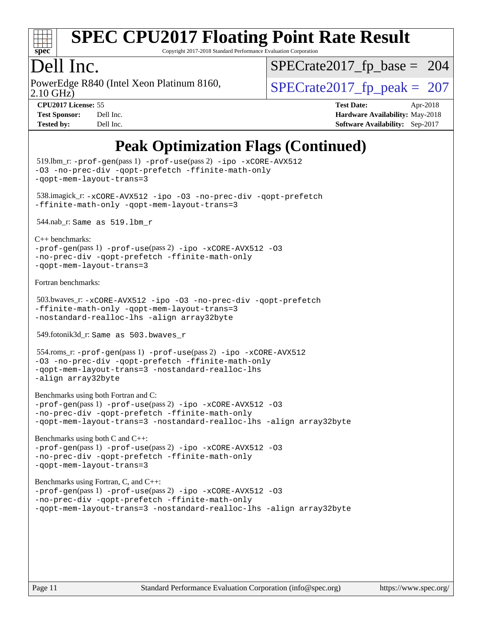

Copyright 2017-2018 Standard Performance Evaluation Corporation

## Dell Inc.

2.10 GHz) PowerEdge R840 (Intel Xeon Platinum 8160,  $\vert$  [SPECrate2017\\_fp\\_peak =](http://www.spec.org/auto/cpu2017/Docs/result-fields.html#SPECrate2017fppeak) 207

[SPECrate2017\\_fp\\_base =](http://www.spec.org/auto/cpu2017/Docs/result-fields.html#SPECrate2017fpbase) 204

**[CPU2017 License:](http://www.spec.org/auto/cpu2017/Docs/result-fields.html#CPU2017License)** 55 **[Test Date:](http://www.spec.org/auto/cpu2017/Docs/result-fields.html#TestDate)** Apr-2018 **[Test Sponsor:](http://www.spec.org/auto/cpu2017/Docs/result-fields.html#TestSponsor)** Dell Inc. **[Hardware Availability:](http://www.spec.org/auto/cpu2017/Docs/result-fields.html#HardwareAvailability)** May-2018 **[Tested by:](http://www.spec.org/auto/cpu2017/Docs/result-fields.html#Testedby)** Dell Inc. **[Software Availability:](http://www.spec.org/auto/cpu2017/Docs/result-fields.html#SoftwareAvailability)** Sep-2017

## **[Peak Optimization Flags \(Continued\)](http://www.spec.org/auto/cpu2017/Docs/result-fields.html#PeakOptimizationFlags)**

```
 519.lbm_r: -prof-gen(pass 1) -prof-use(pass 2) -ipo -xCORE-AVX512
-O3 -no-prec-div -qopt-prefetch -ffinite-math-only
-qopt-mem-layout-trans=3
 538.imagick_r: -xCORE-AVX512 -ipo -O3 -no-prec-div -qopt-prefetch
-ffinite-math-only -qopt-mem-layout-trans=3
 544.nab_r: Same as 519.lbm_r
C++ benchmarks: 
-prof-gen(pass 1) -prof-use(pass 2) -ipo -xCORE-AVX512 -O3
-no-prec-div -qopt-prefetch -ffinite-math-only
-qopt-mem-layout-trans=3
Fortran benchmarks: 
 503.bwaves_r: -xCORE-AVX512 -ipo -O3 -no-prec-div -qopt-prefetch
-ffinite-math-only -qopt-mem-layout-trans=3
-nostandard-realloc-lhs -align array32byte
 549.fotonik3d_r: Same as 503.bwaves_r
 554.roms_r: -prof-gen(pass 1) -prof-use(pass 2) -ipo -xCORE-AVX512
-O3 -no-prec-div -qopt-prefetch -ffinite-math-only
-qopt-mem-layout-trans=3 -nostandard-realloc-lhs
-align array32byte
Benchmarks using both Fortran and C: 
-prof-gen(pass 1) -prof-use(pass 2) -ipo -xCORE-AVX512 -O3
-no-prec-div -qopt-prefetch -ffinite-math-only
-qopt-mem-layout-trans=3 -nostandard-realloc-lhs -align array32byte
Benchmarks using both C and C++: 
-prof-gen(pass 1) -prof-use(pass 2) -ipo -xCORE-AVX512 -O3
-no-prec-div -qopt-prefetch -ffinite-math-only
-qopt-mem-layout-trans=3
Benchmarks using Fortran, C, and C++: 
-prof-gen(pass 1) -prof-use(pass 2) -ipo -xCORE-AVX512 -O3
-no-prec-div -qopt-prefetch -ffinite-math-only
-qopt-mem-layout-trans=3 -nostandard-realloc-lhs -align array32byte
```